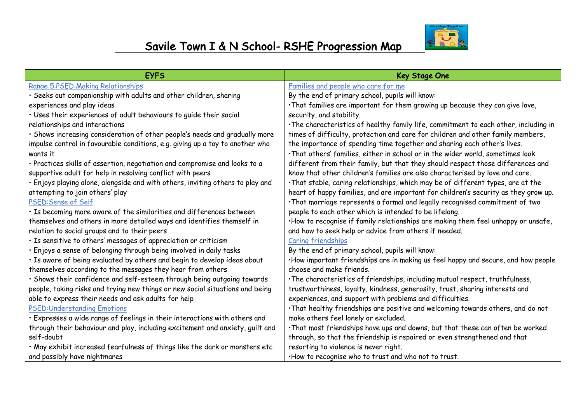

| <b>EYFS</b>                                                                    | <b>Key Stage One</b>                                                                 |
|--------------------------------------------------------------------------------|--------------------------------------------------------------------------------------|
| Range 5:PSED: Making Relationships                                             | Families and people who care for me                                                  |
| · Seeks out companionship with adults and other children, sharing              | By the end of primary school, pupils will know:                                      |
| experiences and play ideas                                                     | . That families are important for them growing up because they can give love,        |
| · Uses their experiences of adult behaviours to guide their social             | security, and stability.                                                             |
| relationships and interactions                                                 | . The characteristics of healthy family life, commitment to each other, including in |
| · Shows increasing consideration of other people's needs and gradually more    | times of difficulty, protection and care for children and other family members,      |
| impulse control in favourable conditions, e.g. giving up a toy to another who  | the importance of spending time together and sharing each other's lives.             |
| wants it                                                                       | . That others' families, either in school or in the wider world, sometimes look      |
| · Practices skills of assertion, negotiation and compromise and looks to a     | different from their family, but that they should respect those differences and      |
| supportive adult for help in resolving conflict with peers                     | know that other children's families are also characterised by love and care.         |
| · Enjoys playing alone, alongside and with others, inviting others to play and | . That stable, caring relationships, which may be of different types, are at the     |
| attempting to join others' play                                                | heart of happy families, and are important for children's security as they grow up.  |
| PSED: Sense of Self                                                            | . That marriage represents a formal and legally recognised commitment of two         |
| · Is becoming more aware of the similarities and differences between           | people to each other which is intended to be lifelong.                               |
| themselves and others in more detailed ways and identifies themself in         | ·How to recognise if family relationships are making them feel unhappy or unsafe,    |
| relation to social groups and to their peers                                   | and how to seek help or advice from others if needed.                                |
| · Is sensitive to others' messages of appreciation or criticism                | Caring friendships                                                                   |
| · Enjoys a sense of belonging through being involved in daily tasks            | By the end of primary school, pupils will know:                                      |
| · Is aware of being evaluated by others and begin to develop ideas about       | . How important friendships are in making us feel happy and secure, and how people   |
| themselves according to the messages they hear from others                     | choose and make friends.                                                             |
| · Shows their confidence and self-esteem through being outgoing towards        | . The characteristics of friendships, including mutual respect, truthfulness,        |
| people, taking risks and trying new things or new social situations and being  | trustworthiness, loyalty, kindness, generosity, trust, sharing interests and         |
| able to express their needs and ask adults for help                            | experiences, and support with problems and difficulties.                             |
| <b>PSED: Understanding Emotions</b>                                            | . That healthy friendships are positive and welcoming towards others, and do not     |
| · Expresses a wide range of feelings in their interactions with others and     | make others feel lonely or excluded.                                                 |
| through their behaviour and play, including excitement and anxiety, guilt and  | . That most friendships have ups and downs, but that these can often be worked       |
| self-doubt                                                                     | through, so that the friendship is repaired or even strengthened and that            |
| . May exhibit increased fearfulness of things like the dark or monsters etc    | resorting to violence is never right.                                                |
| and possibly have nightmares                                                   | . How to recognise who to trust and who not to trust.                                |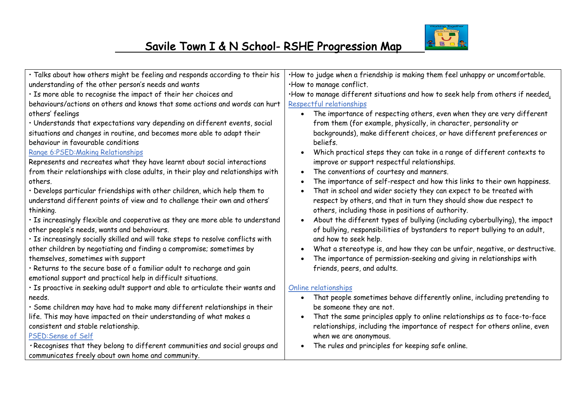

| Talks about how others might be feeling and responds according to their his      | $\cdot$ How to judge when a friendship is making them feel unhappy or uncomfortable.  |
|----------------------------------------------------------------------------------|---------------------------------------------------------------------------------------|
| understanding of the other person's needs and wants                              | ·How to manage conflict.                                                              |
| · Is more able to recognise the impact of their her choices and                  | ·How to manage different situations and how to seek help from others if needed.       |
| behaviours/actions on others and knows that some actions and words can hurt      | Respectful relationships                                                              |
| others' feelings                                                                 | The importance of respecting others, even when they are very different<br>$\bullet$   |
| · Understands that expectations vary depending on different events, social       | from them (for example, physically, in character, personality or                      |
| situations and changes in routine, and becomes more able to adapt their          | backgrounds), make different choices, or have different preferences or                |
| behaviour in favourable conditions                                               | beliefs.                                                                              |
| Range 6:PSED: Making Relationships                                               | Which practical steps they can take in a range of different contexts to               |
| Represents and recreates what they have learnt about social interactions         | improve or support respectful relationships.                                          |
| from their relationships with close adults, in their play and relationships with | The conventions of courtesy and manners.                                              |
| others.                                                                          | The importance of self-respect and how this links to their own happiness.             |
| · Develops particular friendships with other children, which help them to        | That in school and wider society they can expect to be treated with                   |
| understand different points of view and to challenge their own and others'       | respect by others, and that in turn they should show due respect to                   |
| thinking.                                                                        | others, including those in positions of authority.                                    |
| · Is increasingly flexible and cooperative as they are more able to understand   | About the different types of bullying (including cyberbullying), the impact           |
| other people's needs, wants and behaviours.                                      | of bullying, responsibilities of bystanders to report bullying to an adult,           |
| . Is increasingly socially skilled and will take steps to resolve conflicts with | and how to seek help.                                                                 |
| other children by negotiating and finding a compromise; sometimes by             | What a stereotype is, and how they can be unfair, negative, or destructive.           |
| themselves, sometimes with support                                               | The importance of permission-seeking and giving in relationships with                 |
| . Returns to the secure base of a familiar adult to recharge and gain            | friends, peers, and adults.                                                           |
| emotional support and practical help in difficult situations.                    |                                                                                       |
| . Is proactive in seeking adult support and able to articulate their wants and   | Online relationships                                                                  |
| needs.                                                                           | That people sometimes behave differently online, including pretending to<br>$\bullet$ |
| · Some children may have had to make many different relationships in their       | be someone they are not.                                                              |
| life. This may have impacted on their understanding of what makes a              | That the same principles apply to online relationships as to face-to-face             |
| consistent and stable relationship.                                              | relationships, including the importance of respect for others online, even            |
| PSED: Sense of Self                                                              | when we are anonymous.                                                                |
| . Recognises that they belong to different communities and social groups and     | The rules and principles for keeping safe online.                                     |
| communicates freely about own home and community.                                |                                                                                       |
|                                                                                  |                                                                                       |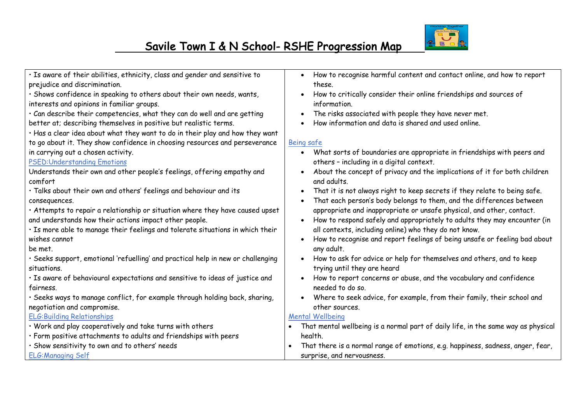

• Is aware of their abilities, ethnicity, class and gender and sensitive to prejudice and discrimination.

• Shows confidence in speaking to others about their own needs, wants, interests and opinions in familiar groups.

• Can describe their competencies, what they can do well and are getting better at; describing themselves in positive but realistic terms.

• Has a clear idea about what they want to do in their play and how they want to go about it. They show confidence in choosing resources and perseverance in carrying out a chosen activity.

#### PSED:Understanding Emotions

Understands their own and other people's feelings, offering empathy and comfort

• Talks about their own and others' feelings and behaviour and its consequences.

• Attempts to repair a relationship or situation where they have caused upset and understands how their actions impact other people.

• Is more able to manage their feelings and tolerate situations in which their wishes cannot

be met.

• Seeks support, emotional 'refuelling' and practical help in new or challenging situations.

• Is aware of behavioural expectations and sensitive to ideas of justice and fairness.

• Seeks ways to manage conflict, for example through holding back, sharing, negotiation and compromise.

ELG:Building Relationships

• Work and play cooperatively and take turns with others

- Form positive attachments to adults and friendships with peers
- Show sensitivity to own and to others' needs

ELG:Managing Self

- How to recognise harmful content and contact online, and how to report these.
- How to critically consider their online friendships and sources of information.
- The risks associated with people they have never met.
- How information and data is shared and used online.

#### Being safe

- What sorts of boundaries are appropriate in friendships with peers and others – including in a digital context.
- About the concept of privacy and the implications of it for both children and adults.
- That it is not always right to keep secrets if they relate to being safe.
- That each person's body belongs to them, and the differences between appropriate and inappropriate or unsafe physical, and other, contact.
- How to respond safely and appropriately to adults they may encounter (in all contexts, including online) who they do not know.
- How to recognise and report feelings of being unsafe or feeling bad about any adult.
- How to ask for advice or help for themselves and others, and to keep trying until they are heard
- How to report concerns or abuse, and the vocabulary and confidence needed to do so.
- Where to seek advice, for example, from their family, their school and other sources.

#### Mental Wellbeing

- That mental wellbeing is a normal part of daily life, in the same way as physical health.
- That there is a normal range of emotions, e.g. happiness, sadness, anger, fear, surprise, and nervousness.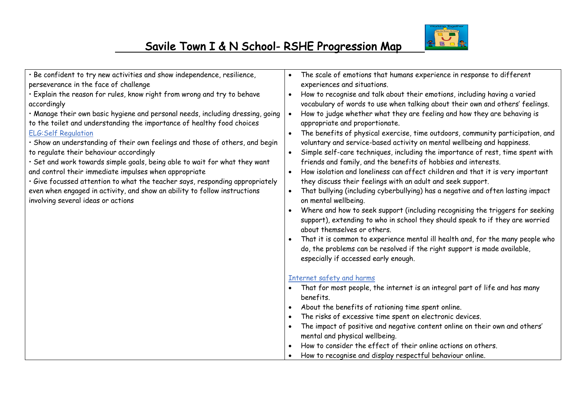

| Be confident to try new activities and show independence, resilience,          | The scale of emotions that humans experience in response to different           |
|--------------------------------------------------------------------------------|---------------------------------------------------------------------------------|
| perseverance in the face of challenge                                          | experiences and situations.                                                     |
| Explain the reason for rules, know right from wrong and try to behave          | How to recognise and talk about their emotions, including having a varied       |
| accordingly                                                                    | vocabulary of words to use when talking about their own and others' feelings.   |
| · Manage their own basic hygiene and personal needs, including dressing, going | How to judge whether what they are feeling and how they are behaving is         |
| to the toilet and understanding the importance of healthy food choices         | appropriate and proportionate.                                                  |
| <b>ELG:Self Regulation</b>                                                     | The benefits of physical exercise, time outdoors, community participation, and  |
| Show an understanding of their own feelings and those of others, and begin     | voluntary and service-based activity on mental wellbeing and happiness.         |
| to regulate their behaviour accordingly                                        | Simple self-care techniques, including the importance of rest, time spent with  |
| Set and work towards simple goals, being able to wait for what they want       | friends and family, and the benefits of hobbies and interests.                  |
| and control their immediate impulses when appropriate                          | How isolation and loneliness can affect children and that it is very important  |
| · Give focussed attention to what the teacher says, responding appropriately   | they discuss their feelings with an adult and seek support.                     |
| even when engaged in activity, and show an ability to follow instructions      | That bullying (including cyberbullying) has a negative and often lasting impact |
| involving several ideas or actions                                             | on mental wellbeing.                                                            |
|                                                                                | Where and how to seek support (including recognising the triggers for seeking   |
|                                                                                | support), extending to who in school they should speak to if they are worried   |
|                                                                                | about themselves or others.                                                     |
|                                                                                | That it is common to experience mental ill health and, for the many people who  |
|                                                                                | do, the problems can be resolved if the right support is made available,        |
|                                                                                | especially if accessed early enough.                                            |
|                                                                                |                                                                                 |
|                                                                                | Internet safety and harms                                                       |
|                                                                                | That for most people, the internet is an integral part of life and has many     |
|                                                                                | benefits.                                                                       |
|                                                                                | About the benefits of rationing time spent online.                              |
|                                                                                | The risks of excessive time spent on electronic devices.                        |
|                                                                                | The impact of positive and negative content online on their own and others'     |
|                                                                                | mental and physical wellbeing.                                                  |
|                                                                                | How to consider the effect of their online actions on others.                   |
|                                                                                | How to recognise and display respectful behaviour online.                       |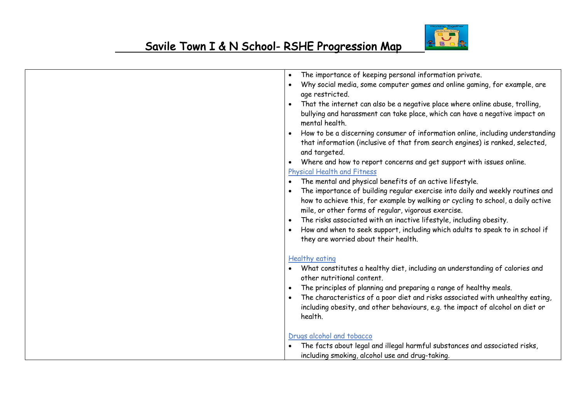

| The importance of keeping personal information private.<br>$\bullet$                                                                                                                                                                                                                                                                                                                                                                                             |
|------------------------------------------------------------------------------------------------------------------------------------------------------------------------------------------------------------------------------------------------------------------------------------------------------------------------------------------------------------------------------------------------------------------------------------------------------------------|
| Why social media, some computer games and online gaming, for example, are<br>$\bullet$<br>age restricted.                                                                                                                                                                                                                                                                                                                                                        |
| That the internet can also be a negative place where online abuse, trolling,<br>$\bullet$<br>bullying and harassment can take place, which can have a negative impact on<br>mental health.                                                                                                                                                                                                                                                                       |
| How to be a discerning consumer of information online, including understanding<br>$\bullet$<br>that information (inclusive of that from search engines) is ranked, selected,<br>and targeted.                                                                                                                                                                                                                                                                    |
| Where and how to report concerns and get support with issues online.<br>$\bullet$                                                                                                                                                                                                                                                                                                                                                                                |
| Physical Health and Fitness                                                                                                                                                                                                                                                                                                                                                                                                                                      |
| The mental and physical benefits of an active lifestyle.<br>$\bullet$                                                                                                                                                                                                                                                                                                                                                                                            |
| The importance of building regular exercise into daily and weekly routines and<br>$\bullet$<br>how to achieve this, for example by walking or cycling to school, a daily active<br>mile, or other forms of regular, vigorous exercise.<br>The risks associated with an inactive lifestyle, including obesity.<br>$\bullet$<br>How and when to seek support, including which adults to speak to in school if<br>$\bullet$<br>they are worried about their health. |
| <b>Healthy eating</b><br>What constitutes a healthy diet, including an understanding of calories and<br>other nutritional content.<br>The principles of planning and preparing a range of healthy meals.<br>The characteristics of a poor diet and risks associated with unhealthy eating,<br>$\bullet$<br>including obesity, and other behaviours, e.g. the impact of alcohol on diet or<br>health.                                                             |
| Drugs alcohol and tobacco<br>The facts about legal and illegal harmful substances and associated risks,<br>including smoking, alcohol use and drug-taking.                                                                                                                                                                                                                                                                                                       |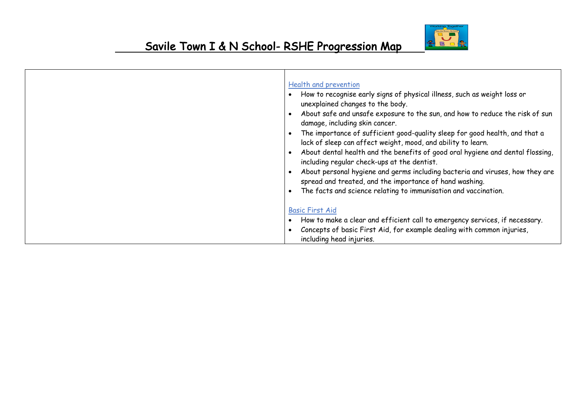

| Health and prevention<br>How to recognise early signs of physical illness, such as weight loss or<br>unexplained changes to the body.<br>About safe and unsafe exposure to the sun, and how to reduce the risk of sun<br>damage, including skin cancer.<br>The importance of sufficient good-quality sleep for good health, and that a<br>lack of sleep can affect weight, mood, and ability to learn.<br>About dental health and the benefits of good oral hygiene and dental flossing,<br>including regular check-ups at the dentist.<br>About personal hygiene and germs including bacteria and viruses, how they are<br>spread and treated, and the importance of hand washing.<br>The facts and science relating to immunisation and vaccination. |
|--------------------------------------------------------------------------------------------------------------------------------------------------------------------------------------------------------------------------------------------------------------------------------------------------------------------------------------------------------------------------------------------------------------------------------------------------------------------------------------------------------------------------------------------------------------------------------------------------------------------------------------------------------------------------------------------------------------------------------------------------------|
| <b>Basic First Aid</b><br>How to make a clear and efficient call to emergency services, if necessary.<br>Concepts of basic First Aid, for example dealing with common injuries,<br>including head injuries.                                                                                                                                                                                                                                                                                                                                                                                                                                                                                                                                            |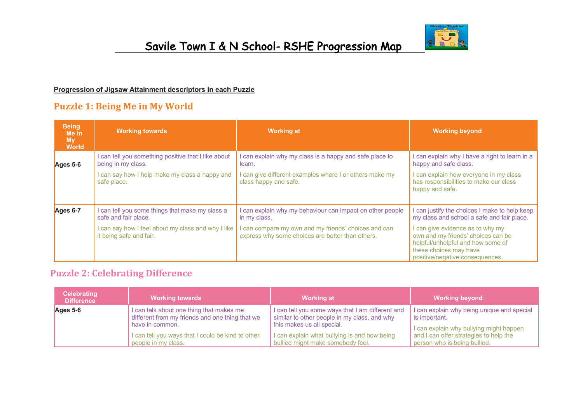

#### **Progression of Jigsaw Attainment descriptors in each Puzzle**

## **Puzzle 1: Being Me in My World**

| <b>Being</b><br>Me in<br><b>My</b><br><b>World</b> | <b>Working towards</b>                                                                                                                               | <b>Working at</b>                                                                                                                                                                     | <b>Working beyond</b>                                                                                                                                                                                                                                                 |
|----------------------------------------------------|------------------------------------------------------------------------------------------------------------------------------------------------------|---------------------------------------------------------------------------------------------------------------------------------------------------------------------------------------|-----------------------------------------------------------------------------------------------------------------------------------------------------------------------------------------------------------------------------------------------------------------------|
| Ages 5-6                                           | can tell you something positive that I like about<br>being in my class.<br>can say how I help make my class a happy and<br>safe place.               | I can explain why my class is a happy and safe place to<br>learn.<br>I can give different examples where I or others make my<br>class happy and safe.                                 | can explain why I have a right to learn in a<br>happy and safe class.<br>I can explain how everyone in my class<br>has responsibilities to make our class<br>happy and safe.                                                                                          |
| Ages 6-7                                           | can tell you some things that make my class a<br>safe and fair place.<br>can say how I feel about my class and why I like<br>it being safe and fair. | I can explain why my behaviour can impact on other people<br>in my class.<br>I can compare my own and my friends' choices and can<br>express why some choices are better than others. | can justify the choices I make to help keep<br>my class and school a safe and fair place.<br>I can give evidence as to why my<br>own and my friends' choices can be<br>helpful/unhelpful and how some of<br>these choices may have<br>positive/negative consequences. |

### **Puzzle 2: Celebrating Difference**

| <b>Celebrating</b><br><b>Difference</b> | <b>Working towards</b>                            | <b>Working at</b>                                | <b>Working beyond</b>                              |
|-----------------------------------------|---------------------------------------------------|--------------------------------------------------|----------------------------------------------------|
| Ages 5-6                                | I can talk about one thing that makes me          | I can tell you some ways that I am different and | I can explain why being unique and special $\vert$ |
|                                         | different from my friends and one thing that we   | similar to other people in my class, and why     | is important.                                      |
|                                         | have in common.                                   | this makes us all special.                       | I can explain why bullying might happen            |
|                                         | I can tell you ways that I could be kind to other | I can explain what bullying is and how being     | and I can offer strategies to help the             |
|                                         | people in my class.                               | bullied might make somebody feel.                | person who is being bullied.                       |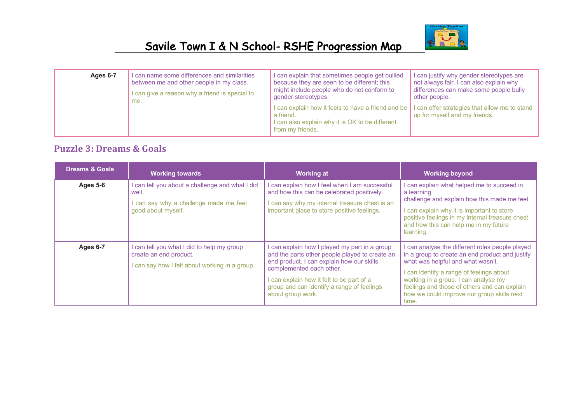

| Ages 6-7 | I can name some differences and similarities   | I can explain that sometimes people get bullied                                                                                        | I can justify why gender stereotypes are                                       |
|----------|------------------------------------------------|----------------------------------------------------------------------------------------------------------------------------------------|--------------------------------------------------------------------------------|
|          | between me and other people in my class.       | because they are seen to be different; this                                                                                            | not always fair. I can also explain why                                        |
|          | I can give a reason why a friend is special to | might include people who do not conform to                                                                                             | differences can make some people bully                                         |
|          | me.                                            | gender stereotypes.                                                                                                                    | other people.                                                                  |
|          |                                                | I can explain how it feels to have a friend and be<br>a friend.<br>I can also explain why it is OK to be different<br>from my friends. | I can offer strategies that allow me to stand<br>up for myself and my friends. |

## **Puzzle 3: Dreams & Goals**

| <b>Dreams &amp; Goals</b> | <b>Working towards</b>                                                                                                 | <b>Working at</b>                                                                                                                                                                                                                                                                        | <b>Working beyond</b>                                                                                                                                                                                                                                                                                                          |
|---------------------------|------------------------------------------------------------------------------------------------------------------------|------------------------------------------------------------------------------------------------------------------------------------------------------------------------------------------------------------------------------------------------------------------------------------------|--------------------------------------------------------------------------------------------------------------------------------------------------------------------------------------------------------------------------------------------------------------------------------------------------------------------------------|
| Ages 5-6                  | I can tell you about a challenge and what I did<br>well.<br>can say why a challenge made me feel<br>good about myself. | I can explain how I feel when I am successful<br>and how this can be celebrated positively.<br>I can say why my internal treasure chest is an<br>important place to store positive feelings.                                                                                             | can explain what helped me to succeed in<br>a learning<br>challenge and explain how this made me feel.<br>can explain why it is important to store<br>positive feelings in my internal treasure chest<br>and how this can help me in my future<br>learning.                                                                    |
| Ages 6-7                  | can tell you what I did to help my group<br>create an end product.<br>I can say how I felt about working in a group.   | I can explain how I played my part in a group<br>and the parts other people played to create an<br>end product. I can explain how our skills<br>complemented each other.<br>I can explain how it felt to be part of a<br>group and can identify a range of feelings<br>about group work. | can analyse the different roles people played<br>in a group to create an end product and justify<br>what was helpful and what wasn't.<br>can identify a range of feelings about<br>working in a group. I can analyse my<br>feelings and those of others and can explain<br>how we could improve our group skills next<br>time. |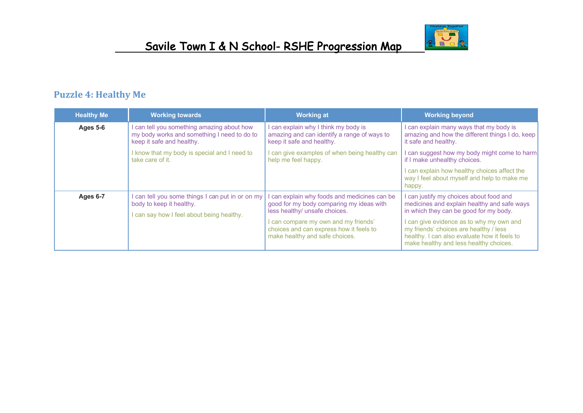

## **Puzzle 4: Healthy Me**

| <b>Healthy Me</b> | <b>Working towards</b>                                                                                                  | <b>Working at</b>                                                                                                                                               | <b>Working beyond</b>                                                                                                                                                    |
|-------------------|-------------------------------------------------------------------------------------------------------------------------|-----------------------------------------------------------------------------------------------------------------------------------------------------------------|--------------------------------------------------------------------------------------------------------------------------------------------------------------------------|
| <b>Ages 5-6</b>   | I can tell you something amazing about how<br>my body works and something I need to do to<br>keep it safe and healthy.  | I can explain why I think my body is<br>amazing and can identify a range of ways to<br>keep it safe and healthy.                                                | can explain many ways that my body is<br>amazing and how the different things I do, keep<br>it safe and healthy.                                                         |
|                   | I know that my body is special and I need to<br>take care of it.                                                        | I can give examples of when being healthy can<br>help me feel happy.                                                                                            | can suggest how my body might come to harm<br>if I make unhealthy choices.                                                                                               |
|                   |                                                                                                                         |                                                                                                                                                                 | can explain how healthy choices affect the<br>way I feel about myself and help to make me<br>happy.                                                                      |
| Ages 6-7          | can tell you some things I can put in or on my<br>body to keep it healthy.<br>I can say how I feel about being healthy. | can explain why foods and medicines can be<br>good for my body comparing my ideas with<br>less healthy/ unsafe choices.<br>I can compare my own and my friends' | can justify my choices about food and<br>medicines and explain healthy and safe ways<br>in which they can be good for my body.<br>can give evidence as to why my own and |
|                   |                                                                                                                         | choices and can express how it feels to<br>make healthy and safe choices.                                                                                       | my friends' choices are healthy / less<br>healthy. I can also evaluate how it feels to<br>make healthy and less healthy choices.                                         |